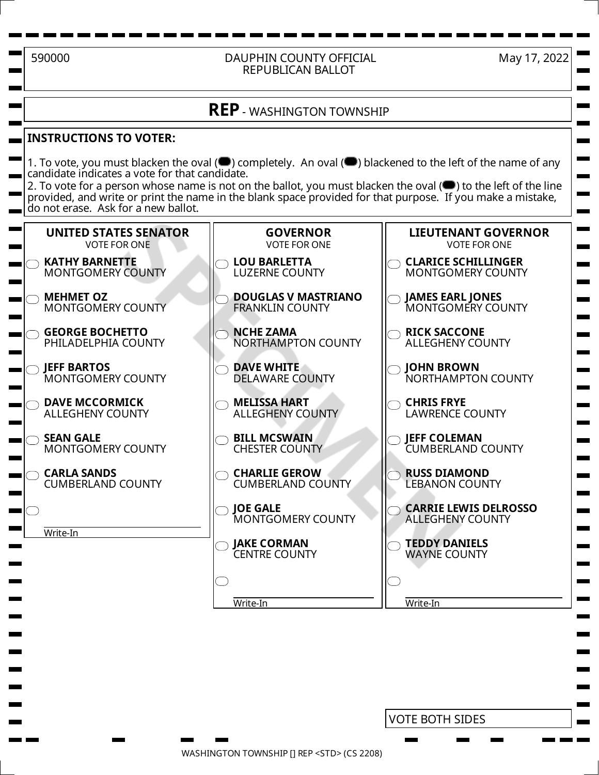## 590000 DAUPHIN COUNTY OFFICIAL REPUBLICAN BALLOT

May 17, 2022

## **REP**- WASHINGTON TOWNSHIP

## **INSTRUCTIONS TO VOTER:**

1. To vote, you must blacken the oval ( $\blacksquare$ ) completely. An oval ( $\blacksquare$ ) blackened to the left of the name of any candidate indicates a vote for that candidate.

2. To vote for a person whose name is not on the ballot, you must blacken the oval  $(\blacksquare)$  to the left of the line provided, and write or print the name in the blank space provided for that purpose. If you make a mistake, do not erase. Ask for a new ballot.



VOTE BOTH SIDES